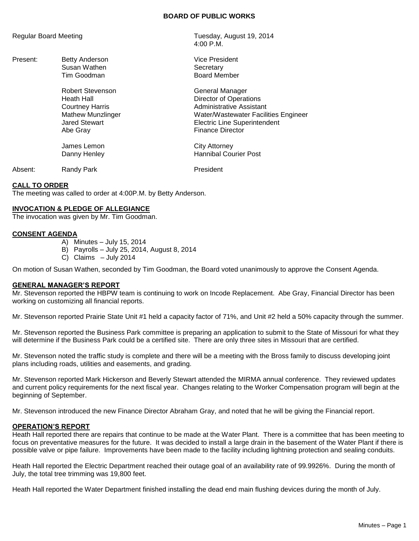### **BOARD OF PUBLIC WORKS**

- Present: Betty Anderson **Vice President** Vice President Susan Wathen Secretary<br>Tim Goodman Secretary Secretary Secretary
	- Robert Stevenson General Manager Abe Gray **Finance Director**

Regular Board Meeting Tuesday, August 19, 2014 4:00 P.M.

Board Member

Heath Hall **Hall** Director of Operations Courtney Harris **Administrative Assistant** Mathew Munzlinger Water/Wastewater Facilities Engineer Jared Stewart Electric Line Superintendent

James Lemon City Attorney Danny Henley **Hannibal Courier Post** 

Absent: Randy Park **President** 

### **CALL TO ORDER**

The meeting was called to order at 4:00P.M. by Betty Anderson.

#### **INVOCATION & PLEDGE OF ALLEGIANCE**

The invocation was given by Mr. Tim Goodman.

### **CONSENT AGENDA**

- A) Minutes July 15, 2014
- B) Payrolls July 25, 2014, August 8, 2014
- C) Claims July 2014

On motion of Susan Wathen, seconded by Tim Goodman, the Board voted unanimously to approve the Consent Agenda.

# **GENERAL MANAGER'S REPORT**

Mr. Stevenson reported the HBPW team is continuing to work on Incode Replacement. Abe Gray, Financial Director has been working on customizing all financial reports.

Mr. Stevenson reported Prairie State Unit #1 held a capacity factor of 71%, and Unit #2 held a 50% capacity through the summer.

Mr. Stevenson reported the Business Park committee is preparing an application to submit to the State of Missouri for what they will determine if the Business Park could be a certified site. There are only three sites in Missouri that are certified.

Mr. Stevenson noted the traffic study is complete and there will be a meeting with the Bross family to discuss developing joint plans including roads, utilities and easements, and grading.

Mr. Stevenson reported Mark Hickerson and Beverly Stewart attended the MIRMA annual conference. They reviewed updates and current policy requirements for the next fiscal year. Changes relating to the Worker Compensation program will begin at the beginning of September.

Mr. Stevenson introduced the new Finance Director Abraham Gray, and noted that he will be giving the Financial report.

#### **OPERATION'S REPORT**

Heath Hall reported there are repairs that continue to be made at the Water Plant. There is a committee that has been meeting to focus on preventative measures for the future. It was decided to install a large drain in the basement of the Water Plant if there is possible valve or pipe failure. Improvements have been made to the facility including lightning protection and sealing conduits.

Heath Hall reported the Electric Department reached their outage goal of an availability rate of 99.9926%. During the month of July, the total tree trimming was 19,800 feet.

Heath Hall reported the Water Department finished installing the dead end main flushing devices during the month of July.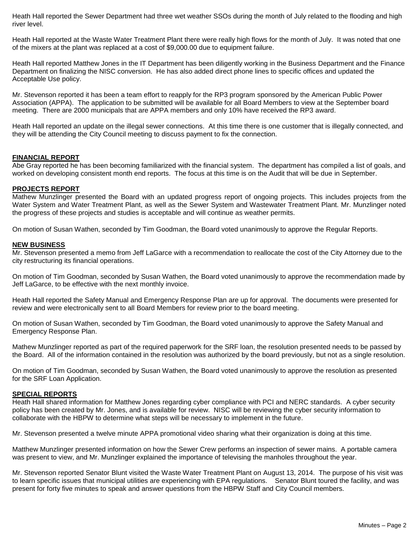Heath Hall reported the Sewer Department had three wet weather SSOs during the month of July related to the flooding and high river level.

Heath Hall reported at the Waste Water Treatment Plant there were really high flows for the month of July. It was noted that one of the mixers at the plant was replaced at a cost of \$9,000.00 due to equipment failure.

Heath Hall reported Matthew Jones in the IT Department has been diligently working in the Business Department and the Finance Department on finalizing the NISC conversion. He has also added direct phone lines to specific offices and updated the Acceptable Use policy.

Mr. Stevenson reported it has been a team effort to reapply for the RP3 program sponsored by the American Public Power Association (APPA). The application to be submitted will be available for all Board Members to view at the September board meeting. There are 2000 municipals that are APPA members and only 10% have received the RP3 award.

Heath Hall reported an update on the illegal sewer connections. At this time there is one customer that is illegally connected, and they will be attending the City Council meeting to discuss payment to fix the connection.

# **FINANCIAL REPORT**

Abe Gray reported he has been becoming familiarized with the financial system. The department has compiled a list of goals, and worked on developing consistent month end reports. The focus at this time is on the Audit that will be due in September.

## **PROJECTS REPORT**

Mathew Munzlinger presented the Board with an updated progress report of ongoing projects. This includes projects from the Water System and Water Treatment Plant, as well as the Sewer System and Wastewater Treatment Plant. Mr. Munzlinger noted the progress of these projects and studies is acceptable and will continue as weather permits.

On motion of Susan Wathen, seconded by Tim Goodman, the Board voted unanimously to approve the Regular Reports.

### **NEW BUSINESS**

Mr. Stevenson presented a memo from Jeff LaGarce with a recommendation to reallocate the cost of the City Attorney due to the city restructuring its financial operations.

On motion of Tim Goodman, seconded by Susan Wathen, the Board voted unanimously to approve the recommendation made by Jeff LaGarce, to be effective with the next monthly invoice.

Heath Hall reported the Safety Manual and Emergency Response Plan are up for approval. The documents were presented for review and were electronically sent to all Board Members for review prior to the board meeting.

On motion of Susan Wathen, seconded by Tim Goodman, the Board voted unanimously to approve the Safety Manual and Emergency Response Plan.

Mathew Munzlinger reported as part of the required paperwork for the SRF loan, the resolution presented needs to be passed by the Board. All of the information contained in the resolution was authorized by the board previously, but not as a single resolution.

On motion of Tim Goodman, seconded by Susan Wathen, the Board voted unanimously to approve the resolution as presented for the SRF Loan Application.

#### **SPECIAL REPORTS**

Heath Hall shared information for Matthew Jones regarding cyber compliance with PCI and NERC standards. A cyber security policy has been created by Mr. Jones, and is available for review. NISC will be reviewing the cyber security information to collaborate with the HBPW to determine what steps will be necessary to implement in the future.

Mr. Stevenson presented a twelve minute APPA promotional video sharing what their organization is doing at this time.

Matthew Munzlinger presented information on how the Sewer Crew performs an inspection of sewer mains. A portable camera was present to view, and Mr. Munzlinger explained the importance of televising the manholes throughout the year.

Mr. Stevenson reported Senator Blunt visited the Waste Water Treatment Plant on August 13, 2014. The purpose of his visit was to learn specific issues that municipal utilities are experiencing with EPA regulations. Senator Blunt toured the facility, and was present for forty five minutes to speak and answer questions from the HBPW Staff and City Council members.